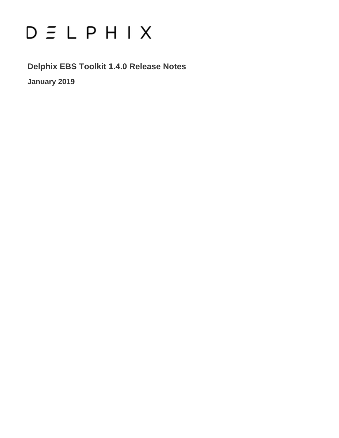# $D \subseteq L$   $P$   $H$   $I$   $X$

**Delphix EBS Toolkit 1.4.0 Release Notes January 2019**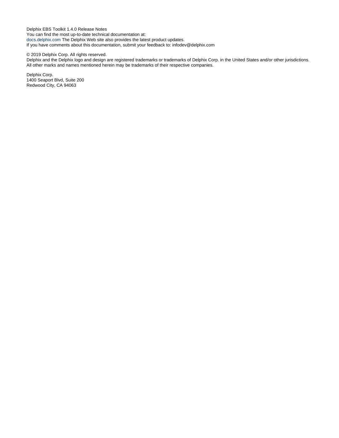Delphix EBS Toolkit 1.4.0 Release Notes You can find the most up-to-date technical documentation at: [docs.delphix.com](http://docs.delphix.com) The Delphix Web site also provides the latest product updates. If you have comments about this documentation, submit your feedback to: infodev@delphix.com

#### © 2019 Delphix Corp. All rights reserved.

Delphix and the Delphix logo and design are registered trademarks or trademarks of Delphix Corp. in the United States and/or other jurisdictions. All other marks and names mentioned herein may be trademarks of their respective companies.

Delphix Corp. 1400 Seaport Blvd, Suite 200 Redwood City, CA 94063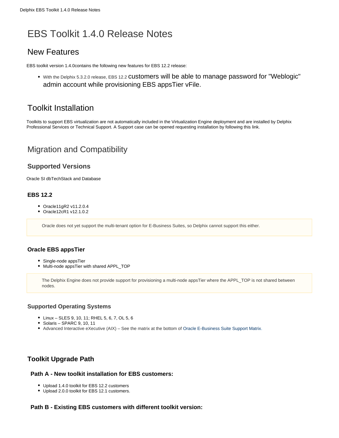## EBS Toolkit 1.4.0 Release Notes

## New Features

EBS toolkit version 1.4.0contains the following new features for EBS 12.2 release:

With the Delphix 5.3.2.0 release, EBS 12.2 customers will be able to manage password for "Weblogic" admin account while provisioning EBS appsTier vFile.

## Toolkit Installation

Toolkits to support EBS virtualization are not automatically included in the Virtualization Engine deployment and are installed by Delphix Professional Services or Technical Support. A Support case can be opened requesting installation by following this [link](http://support-tickets.delphix.com/).

## Migration and Compatibility

#### **Supported Versions**

Oracle SI dbTechStack and Database

#### **EBS 12.2**

- Oracle11gR2 v11.2.0.4
- Oracle12cR1 v12.1.0.2

Oracle does not yet support the multi-tenant option for E-Business Suites, so Delphix cannot support this either.

#### **Oracle EBS appsTier**

- Single-node appsTier
- Multi-node appsTier with shared APPL\_TOP

The Delphix Engine does not provide support for provisioning a multi-node appsTier where the APPL\_TOP is not shared between nodes.

#### **Supported Operating Systems**

- Linux SLES 9, 10, 11; RHEL 5, 6, 7, OL 5, 6
- $\bullet$  Solaris SPARC 9, 10, 11
- Advanced Interactive eXecutive (AIX) See the matrix at the bottom of [Oracle E-Business Suite Support Matrix.](https://docs.delphix.com/display/DOCS532/Oracle+Matrix)

#### **Toolkit Upgrade Path**

#### **Path A - New toolkit installation for EBS customers:**

- Upload 1.4.0 toolkit for EBS 12.2 customers
- Upload 2.0.0 toolkit for EBS 12.1 customers.

#### **Path B - Existing EBS customers with different toolkit version:**